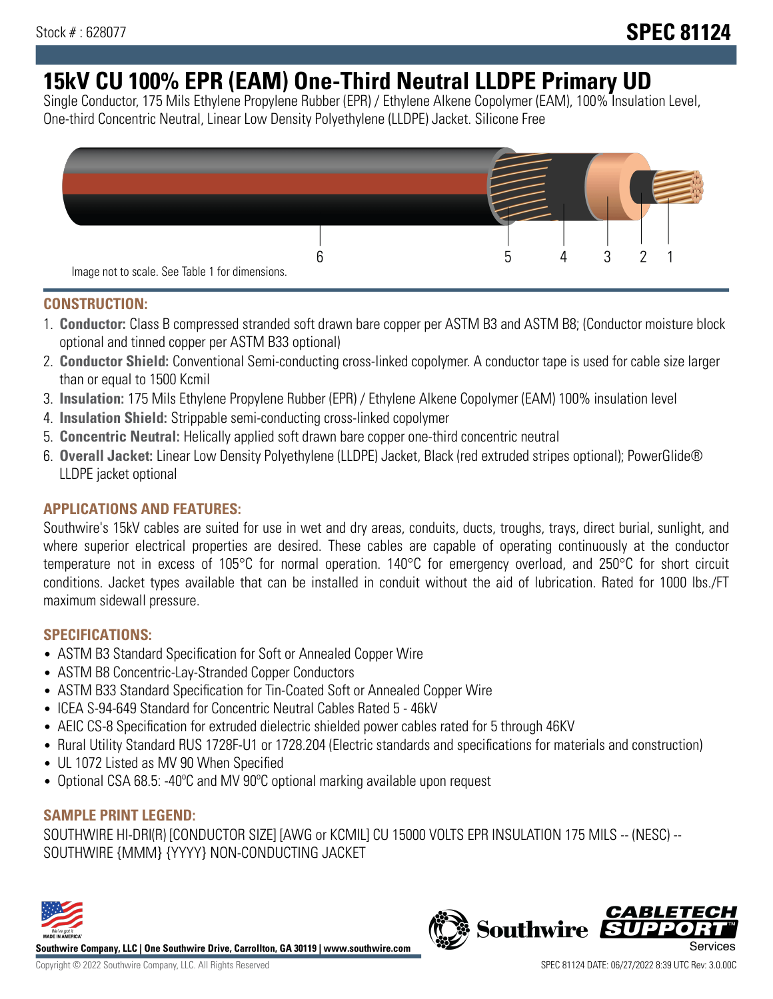# **15kV CU 100% EPR (EAM) One-Third Neutral LLDPE Primary UD**

Single Conductor, 175 Mils Ethylene Propylene Rubber (EPR) / Ethylene Alkene Copolymer (EAM), 100% Insulation Level, One-third Concentric Neutral, Linear Low Density Polyethylene (LLDPE) Jacket. Silicone Free



#### **CONSTRUCTION:**

- 1. **Conductor:** Class B compressed stranded soft drawn bare copper per ASTM B3 and ASTM B8; (Conductor moisture block optional and tinned copper per ASTM B33 optional)
- 2. **Conductor Shield:** Conventional Semi-conducting cross-linked copolymer. A conductor tape is used for cable size larger than or equal to 1500 Kcmil
- 3. **Insulation:** 175 Mils Ethylene Propylene Rubber (EPR) / Ethylene Alkene Copolymer (EAM) 100% insulation level
- 4. **Insulation Shield:** Strippable semi-conducting cross-linked copolymer
- 5. **Concentric Neutral:** Helically applied soft drawn bare copper one-third concentric neutral
- 6. **Overall Jacket:** Linear Low Density Polyethylene (LLDPE) Jacket, Black (red extruded stripes optional); PowerGlide® LLDPE jacket optional

## **APPLICATIONS AND FEATURES:**

Southwire's 15kV cables are suited for use in wet and dry areas, conduits, ducts, troughs, trays, direct burial, sunlight, and where superior electrical properties are desired. These cables are capable of operating continuously at the conductor temperature not in excess of 105°C for normal operation. 140°C for emergency overload, and 250°C for short circuit conditions. Jacket types available that can be installed in conduit without the aid of lubrication. Rated for 1000 lbs./FT maximum sidewall pressure.

## **SPECIFICATIONS:**

- ASTM B3 Standard Specification for Soft or Annealed Copper Wire
- ASTM B8 Concentric-Lay-Stranded Copper Conductors
- ASTM B33 Standard Specification for Tin-Coated Soft or Annealed Copper Wire
- ICEA S-94-649 Standard for Concentric Neutral Cables Rated 5 46kV
- AEIC CS-8 Specification for extruded dielectric shielded power cables rated for 5 through 46KV
- Rural Utility Standard RUS 1728F-U1 or 1728.204 (Electric standards and specifications for materials and construction)
- UL 1072 Listed as MV 90 When Specified
- Optional CSA 68.5: -40°C and MV 90°C optional marking available upon request

## **SAMPLE PRINT LEGEND:**

SOUTHWIRE HI-DRI(R) [CONDUCTOR SIZE] [AWG or KCMIL] CU 15000 VOLTS EPR INSULATION 175 MILS -- (NESC) -- SOUTHWIRE {MMM} {YYYY} NON-CONDUCTING JACKET



**Southwire Company, LLC | One Southwire Drive, Carrollton, GA 30119 | www.southwire.com**